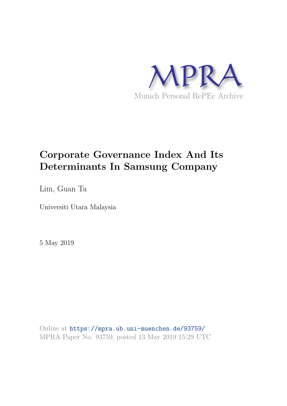

# **Corporate Governance Index And Its Determinants In Samsung Company**

Lim, Guan Ta

Universiti Utara Malaysia

5 May 2019

Online at https://mpra.ub.uni-muenchen.de/93759/ MPRA Paper No. 93759, posted 13 May 2019 15:29 UTC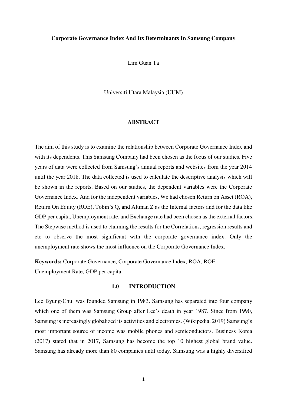### **Corporate Governance Index And Its Determinants In Samsung Company**

Lim Guan Ta

Universiti Utara Malaysia (UUM)

#### **ABSTRACT**

The aim of this study is to examine the relationship between Corporate Governance Index and with its dependents. This Samsung Company had been chosen as the focus of our studies. Five years of data were collected from Samsung's annual reports and websites from the year 2014 until the year 2018. The data collected is used to calculate the descriptive analysis which will be shown in the reports. Based on our studies, the dependent variables were the Corporate Governance Index. And for the independent variables, We had chosen Return on Asset (ROA), Return On Equity (ROE), Tobin's Q, and Altman Z as the Internal factors and for the data like GDP per capita, Unemployment rate, and Exchange rate had been chosen as the external factors. The Stepwise method is used to claiming the results for the Correlations, regression results and etc to observe the most significant with the corporate governance index. Only the unemployment rate shows the most influence on the Corporate Governance Index.

**Keywords:** Corporate Governance, Corporate Governance Index, ROA, ROE Unemployment Rate, GDP per capita

#### **1.0 INTRODUCTION**

Lee Byung-Chul was founded Samsung in 1983. Samsung has separated into four company which one of them was Samsung Group after Lee's death in year 1987. Since from 1990, Samsung is increasingly globalized its activities and electronics. (Wikipedia. 2019) Samsung's most important source of income was mobile phones and semiconductors. Business Korea (2017) stated that in 2017, Samsung has become the top 10 highest global brand value. Samsung has already more than 80 companies until today. Samsung was a highly diversified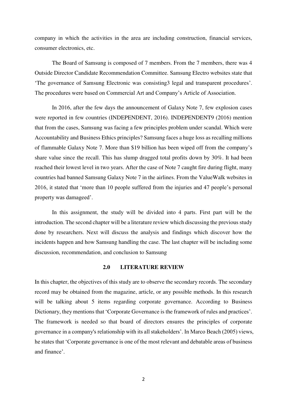company in which the activities in the area are including construction, financial services, consumer electronics, etc.

The Board of Samsung is composed of 7 members. From the 7 members, there was 4 Outside Director Candidate Recommendation Committee. Samsung Electro websites state that 'The governance of Samsung Electronic was consisting3 legal and transparent procedures'. The procedures were based on Commercial Art and Company's Article of Association.

In 2016, after the few days the announcement of Galaxy Note 7, few explosion cases were reported in few countries (INDEPENDENT, 2016). INDEPENDENT9 (2016) mention that from the cases, Samsung was facing a few principles problem under scandal. Which were Accountability and Business Ethics principles? Samsung faces a huge loss as recalling millions of flammable Galaxy Note 7. More than \$19 billion has been wiped off from the company's share value since the recall. This has slump dragged total profits down by 30%. It had been reached their lowest level in two years. After the case of Note 7 caught fire during flight, many countries had banned Samsung Galaxy Note 7 in the airlines. From the ValueWalk websites in 2016, it stated that 'more than 10 people suffered from the injuries and 47 people's personal property was damageed'.

In this assignment, the study will be divided into 4 parts. First part will be the introduction. The second chapter will be a literature review which discussing the previous study done by researchers. Next will discuss the analysis and findings which discover how the incidents happen and how Samsung handling the case. The last chapter will be including some discussion, recommendation, and conclusion to Samsung

# **2.0 LITERATURE REVIEW**

In this chapter, the objectives of this study are to observe the secondary records. The secondary record may be obtained from the magazine, article, or any possible methods. In this research will be talking about 5 items regarding corporate governance. According to Business Dictionary, they mentions that 'Corporate Governance is the framework of rules and practices'. The framework is needed so that board of directors ensures the principles of corporate governance in a company's relationship with its all stakeholders'. In Marco Beach (2005) views, he states that 'Corporate governance is one of the most relevant and debatable areas of business and finance'.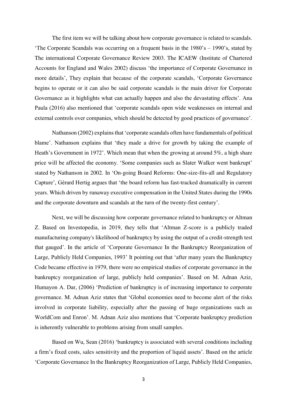The first item we will be talking about how corporate governance is related to scandals. 'The Corporate Scandals was occurring on a frequent basis in the 1980's – 1990's, stated by The international Corporate Governance Review 2003. The ICAEW (Institute of Chartered Accounts for England and Wales 2002) discuss 'the importance of Corporate Governance in more details', They explain that because of the corporate scandals, 'Corporate Governance begins to operate or it can also be said corporate scandals is the main driver for Corporate Governance as it highlights what can actually happen and also the devastating effects'. Ana Paula (2016) also mentioned that 'corporate scandals open wide weaknesses on internal and external controls over companies, which should be detected by good practices of governance'.

Nathanson (2002) explains that 'corporate scandals often have fundamentals of political blame'. Nathanson explains that 'they made a drive for growth by taking the example of Heath's Government in 1972'. Which mean that when the growing at around 5%, a high share price will be affected the economy. 'Some companies such as Slater Walker went bankrupt' stated by Nathanson in 2002. In 'On-going Board Reforms: One-size-fits-all and Regulatory Capture', Gérard Hertig argues that 'the board reform has fast-tracked dramatically in current years. Which driven by runaway executive compensation in the United States during the 1990s and the corporate downturn and scandals at the turn of the twenty-first century'.

Next, we will be discussing how corporate governance related to bankruptcy or Altman Z. Based on Investopedia, in 2019, they tells that 'Altman Z-score is a publicly traded manufacturing company's likelihood of bankruptcy by using the output of a credit-strength test that gauged'. In the article of 'Corporate Governance In the Bankruptcy Reorganization of Large, Publicly Held Companies, 1993' It pointing out that 'after many years the Bankruptcy Code became effective in 1979, there were no empirical studies of corporate governance in the bankruptcy reorganization of large, publicly held companies'. Based on M. Adnan Aziz, Humayon A. Dar, (2006) 'Prediction of bankruptcy is of increasing importance to corporate governance. M. Adnan Aziz states that 'Global economies need to become alert of the risks involved in corporate liability, especially after the passing of huge organizations such as WorldCom and Enron'. M. Adnan Aziz also mentions that 'Corporate bankruptcy prediction is inherently vulnerable to problems arising from small samples.

Based on Wu, Sean (2016) 'bankruptcy is associated with several conditions including a firm's fixed costs, sales sensitivity and the proportion of liquid assets'. Based on the article 'Corporate Governance In the Bankruptcy Reorganization of Large, Publicly Held Companies,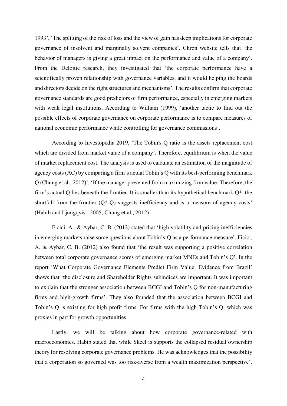1993', 'The splitting of the risk of loss and the view of gain has deep implications for corporate governance of insolvent and marginally solvent companies'. Chron website tells that 'the behavior of managers is giving a great impact on the performance and value of a company'. From the Deloitte research, they investigated that 'the corporate performance have a scientifically proven relationship with governance variables, and it would helping the boards and directors decide on the right structures and mechanisms'. The results confirm that corporate governance standards are good predictors of firm performance, especially in emerging markets with weak legal institutions. According to William (1999), 'another tactic to find out the possible effects of corporate governance on corporate performance is to compare measures of national economic performance while controlling for governance commissions'.

According to Investopedia 2019, 'The Tobin's Q ratio is the assets replacement cost which are divided from market value of a company'. Therefore, equilibrium is when the value of market replacement cost. The analysis is used to calculate an estimation of the magnitude of agency costs (AC) by comparing a firm's actual Tobin's Q with its best-performing benchmark Q (Chung et al., 2012)'. 'If the manager prevented from maximizing firm value. Therefore, the firm's actual Q lies beneath the frontier. It is smaller than its hypothetical benchmark Q\*, the shortfall from the frontier  $(Q^* - Q)$  suggests inefficiency and is a measure of agency costs' (Habib and Ljungqvist, 2005; Chung et al., 2012).

Ficici, A., & Aybar, C. B. (2012) stated that 'high volatility and pricing inefficiencies in emerging markets raise some questions about Tobin's-Q as a performance measure'. Ficici, A. & Aybar, C. B. (2012) also found that 'the result was supporting a positive correlation between total corporate governance scores of emerging market MNEs and Tobin's Q'. In the report 'What Corporate Governance Elements Predict Firm Value: Evidence from Brazil' shows that 'the disclosure and Shareholder Rights subindices are important. It was important to explain that the stronger association between BCGI and Tobin's Q for non-manufacturing firms and high-growth firms'. They also founded that the association between BCGI and Tobin's Q is existing for high profit firms. For firms with the high Tobin's Q, which was proxies in part for growth opportunities

Lastly, we will be talking about how corporate governance-related with macroeconomics. Habib stated that while Skeel is supports the collapsed residual ownership theory for resolving corporate governance problems. He was acknowledges that the possibility that a corporation so governed was too risk-averse from a wealth maximization perspective'.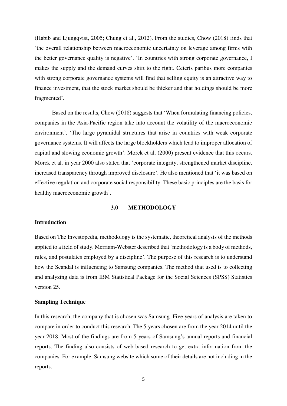(Habib and Ljungqvist, 2005; Chung et al., 2012). From the studies, Chow (2018) finds that 'the overall relationship between macroeconomic uncertainty on leverage among firms with the better governance quality is negative'. 'In countries with strong corporate governance, I makes the supply and the demand curves shift to the right. Ceteris paribus more companies with strong corporate governance systems will find that selling equity is an attractive way to finance investment, that the stock market should be thicker and that holdings should be more fragmented'.

Based on the results, Chow (2018) suggests that 'When formulating financing policies, companies in the Asia-Pacific region take into account the volatility of the macroeconomic environment'. 'The large pyramidal structures that arise in countries with weak corporate governance systems. It will affects the large blockholders which lead to improper allocation of capital and slowing economic growth'. Morck et al. (2000) present evidence that this occurs. Morck et al. in year 2000 also stated that 'corporate integrity, strengthened market discipline, increased transparency through improved disclosure'. He also mentioned that 'it was based on effective regulation and corporate social responsibility. These basic principles are the basis for healthy macroeconomic growth'.

## **3.0 METHODOLOGY**

#### **Introduction**

Based on The Investopedia, methodology is the systematic, theoretical analysis of the methods applied to a field of study. Merriam-Webster described that 'methodology is a body of methods, rules, and postulates employed by a discipline'. The purpose of this research is to understand how the Scandal is influencing to Samsung companies. The method that used is to collecting and analyzing data is from IBM Statistical Package for the Social Sciences (SPSS) Statistics version 25.

#### **Sampling Technique**

In this research, the company that is chosen was Samsung. Five years of analysis are taken to compare in order to conduct this research. The 5 years chosen are from the year 2014 until the year 2018. Most of the findings are from 5 years of Samsung's annual reports and financial reports. The finding also consists of web-based research to get extra information from the companies. For example, Samsung website which some of their details are not including in the reports.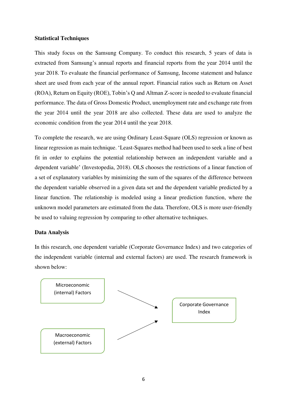# **Statistical Techniques**

This study focus on the Samsung Company. To conduct this research, 5 years of data is extracted from Samsung's annual reports and financial reports from the year 2014 until the year 2018. To evaluate the financial performance of Samsung, Income statement and balance sheet are used from each year of the annual report. Financial ratios such as Return on Asset (ROA), Return on Equity (ROE), Tobin's Q and Altman Z-score is needed to evaluate financial performance. The data of Gross Domestic Product, unemployment rate and exchange rate from the year 2014 until the year 2018 are also collected. These data are used to analyze the economic condition from the year 2014 until the year 2018.

To complete the research, we are using Ordinary Least-Square (OLS) regression or known as linear regression as main technique. 'Least-Squares method had been used to seek a line of best fit in order to explains the potential relationship between an independent variable and a dependent variable' (Investopedia, 2018). OLS chooses the restrictions of a linear function of a set of explanatory variables by minimizing the sum of the squares of the difference between the dependent variable observed in a given data set and the dependent variable predicted by a linear function. The relationship is modeled using a linear prediction function, where the unknown model parameters are estimated from the data. Therefore, OLS is more user-friendly be used to valuing regression by comparing to other alternative techniques.

## **Data Analysis**

In this research, one dependent variable (Corporate Governance Index) and two categories of the independent variable (internal and external factors) are used. The research framework is shown below:

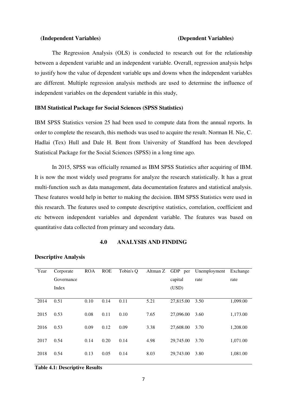#### **(Independent Variables) (Dependent Variables)**

 The Regression Analysis (OLS) is conducted to research out for the relationship between a dependent variable and an independent variable. Overall, regression analysis helps to justify how the value of dependent variable ups and downs when the independent variables are different. Multiple regression analysis methods are used to determine the influence of independent variables on the dependent variable in this study,

### **IBM Statistical Package for Social Sciences (SPSS Statistics)**

IBM SPSS Statistics version 25 had been used to compute data from the annual reports. In order to complete the research, this methods was used to acquire the result. Norman H. Nie, C. Hadlai (Tex) Hull and Dale H. Bent from University of Standford has been developed Statistical Package for the Social Sciences (SPSS) in a long time ago.

In 2015, SPSS was officially renamed as IBM SPSS Statistics after acquiring of IBM. It is now the most widely used programs for analyze the research statistically. It has a great multi-function such as data management, data documentation features and statistical analysis. These features would help in better to making the decision. IBM SPSS Statistics were used in this research. The features used to compute descriptive statistics, correlation, coefficient and etc between independent variables and dependent variable. The features was based on quantitative data collected from primary and secondary data.

# **4.0 ANALYSIS AND FINDING**

| Year | Corporate  | <b>ROA</b> | <b>ROE</b> | Tobin's Q | Altman Z | GDP per   | Unemployment | Exchange |
|------|------------|------------|------------|-----------|----------|-----------|--------------|----------|
|      | Governance |            |            |           |          | capital   | rate         | rate     |
|      | Index      |            |            |           |          | (USD)     |              |          |
|      |            |            |            |           |          |           |              |          |
| 2014 | 0.51       | 0.10       | 0.14       | 0.11      | 5.21     | 27,815.00 | 3.50         | 1,099.00 |
| 2015 | 0.53       | 0.08       | 0.11       | 0.10      | 7.65     | 27,096.00 | 3.60         | 1,173.00 |
| 2016 | 0.53       | 0.09       | 0.12       | 0.09      | 3.38     | 27,608.00 | 3.70         | 1,208.00 |
| 2017 | 0.54       | 0.14       | 0.20       | 0.14      | 4.98     | 29,745.00 | 3.70         | 1,071.00 |
| 2018 | 0.54       | 0.13       | 0.05       | 0.14      | 8.03     | 29,743.00 | 3.80         | 1,081.00 |
|      |            |            |            |           |          |           |              |          |

#### **Descriptive Analysis**

**Table 4.1: Descriptive Results**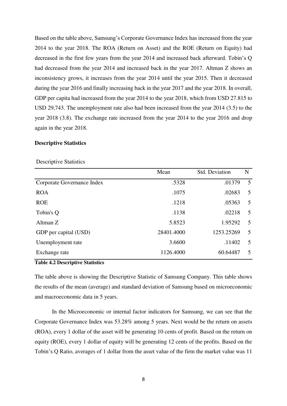Based on the table above, Samsung's Corporate Governance Index has increased from the year 2014 to the year 2018. The ROA (Return on Asset) and the ROE (Return on Equity) had decreased in the first few years from the year 2014 and increased back afterward. Tobin's Q had decreased from the year 2014 and increased back in the year 2017. Altman Z shows an inconsistency grows, it increases from the year 2014 until the year 2015. Then it decreased during the year 2016 and finally increasing back in the year 2017 and the year 2018. In overall, GDP per capita had increased from the year 2014 to the year 2018, which from USD 27.815 to USD 29,743. The unemployment rate also had been increased from the year 2014 (3.5) to the year 2018 (3.8). The exchange rate increased from the year 2014 to the year 2016 and drop again in the year 2018.

# **Descriptive Statistics**

|                            | Mean       | Std. Deviation | N  |
|----------------------------|------------|----------------|----|
| Corporate Governance Index | .5328      | .01379         | 5  |
| <b>ROA</b>                 | .1075      | .02683         | 5  |
| <b>ROE</b>                 | .1218      | .05363         | 5  |
| Tobin's Q                  | .1138      | .02218         | 5  |
| Altman Z                   | 5.8523     | 1.95292        | 5  |
| GDP per capital (USD)      | 28401.4000 | 1253.25269     | 5  |
| Unemployment rate          | 3.6600     | .11402         | 5  |
| Exchange rate              | 1126.4000  | 60.64487       | .5 |

# Descriptive Statistics

**Table 4.2 Descriptive Statistics** 

The table above is showing the Descriptive Statistic of Samsung Company. This table shows the results of the mean (average) and standard deviation of Samsung based on microeconomic and macroeconomic data in 5 years.

In the Microeconomic or internal factor indicators for Samsung, we can see that the Corporate Governance Index was 53.28% among 5 years. Next would be the return on assets (ROA), every 1 dollar of the asset will be generating 10 cents of profit. Based on the return on equity (ROE), every 1 dollar of equity will be generating 12 cents of the profits. Based on the Tobin's Q Ratio, averages of 1 dollar from the asset value of the firm the market value was 11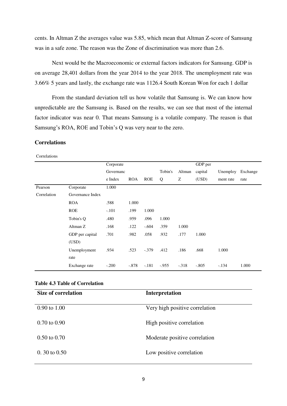cents. In Altman Z the averages value was 5.85, which mean that Altman Z-score of Samsung was in a safe zone. The reason was the Zone of discrimination was more than 2.6.

Next would be the Macroeconomic or external factors indicators for Samsung. GDP is on average 28,401 dollars from the year 2014 to the year 2018. The unemployment rate was 3.66% 5 years and lastly, the exchange rate was 1126.4 South Korean Won for each 1 dollar

From the standard deviation tell us how volatile that Samsung is. We can know how unpredictable are the Samsung is. Based on the results, we can see that most of the internal factor indicator was near 0. That means Samsung is a volatile company. The reason is that Samsung's ROA, ROE and Tobin's Q was very near to the zero.

# **Correlations**

Correlations

|             |                  | Corporate |            |            |         |         | GDP per |           |          |
|-------------|------------------|-----------|------------|------------|---------|---------|---------|-----------|----------|
|             |                  | Governanc |            |            | Tobin's | Altman  | capital | Unemploy  | Exchange |
|             |                  | e Index   | <b>ROA</b> | <b>ROE</b> | Q       | Ζ       | (USD)   | ment rate | rate     |
| Pearson     | Corporate        | 1.000     |            |            |         |         |         |           |          |
| Correlation | Governance Index |           |            |            |         |         |         |           |          |
|             | <b>ROA</b>       | .588      | 1.000      |            |         |         |         |           |          |
|             | <b>ROE</b>       | $-.101$   | .199       | 1.000      |         |         |         |           |          |
|             | Tobin's Q        | .480      | .959       | .096       | 1.000   |         |         |           |          |
|             | Altman Z         | .168      | .122       | $-.604$    | .359    | 1.000   |         |           |          |
|             | GDP per capital  | .701      | .982       | .058       | .932    | .177    | 1.000   |           |          |
|             | (USD)            |           |            |            |         |         |         |           |          |
|             | Unemployment     | .934      | .523       | $-.379$    | .412    | .186    | .668    | 1.000     |          |
|             | rate             |           |            |            |         |         |         |           |          |
|             | Exchange rate    | $-.200$   | $-.878$    | $-.181$    | $-955$  | $-.318$ | $-.805$ | $-.134$   | 1.000    |

# **Table 4.3 Table of Correlation**

| <b>Size of correlation</b> | Interpretation                 |
|----------------------------|--------------------------------|
| $0.90 \text{ to } 1.00$    | Very high positive correlation |
| $0.70 \text{ to } 0.90$    | High positive correlation      |
| $0.50 \text{ to } 0.70$    | Moderate positive correlation  |
| $0.30 \text{ to } 0.50$    | Low positive correlation       |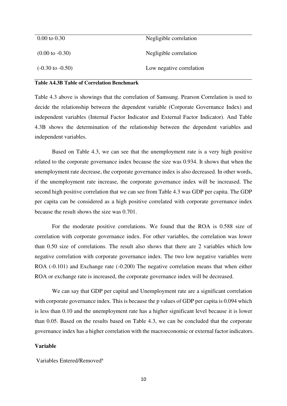| $0.00 \text{ to } 0.30$     | Negligible correlation   |
|-----------------------------|--------------------------|
| $(0.00 \text{ to } -0.30)$  | Negligible correlation   |
| $(-0.30 \text{ to } -0.50)$ | Low negative correlation |

# **Table A4.3B Table of Correlation Benchmark**

Table 4.3 above is showings that the correlation of Samsung. Pearson Correlation is used to decide the relationship between the dependent variable (Corporate Governance Index) and independent variables (Internal Factor Indicator and External Factor Indicator). And Table 4.3B shows the determination of the relationship between the dependent variables and independent variables.

Based on Table 4.3, we can see that the unemployment rate is a very high positive related to the corporate governance index because the size was 0.934. It shows that when the unemployment rate decrease, the corporate governance index is also decreased. In other words, if the unemployment rate increase, the corporate governance index will be increased. The second high positive correlation that we can see from Table 4.3 was GDP per capita. The GDP per capita can be considered as a high positive correlated with corporate governance index because the result shows the size was 0.701.

For the moderate positive correlations. We found that the ROA is 0.588 size of correlation with corporate governance index. For other variables, the correlation was lower than 0.50 size of correlations. The result also shows that there are 2 variables which low negative correlation with corporate governance index. The two low negative variables were ROA (-0.101) and Exchange rate (-0.200) The negative correlation means that when either ROA or exchange rate is increased, the corporate governance index will be decreased.

We can say that GDP per capital and Unemployment rate are a significant correlation with corporate governance index. This is because the p values of GDP per capita is 0.094 which is less than 0.10 and the unemployment rate has a higher significant level because it is lower than 0.05. Based on the results based on Table 4.3, we can be concluded that the corporate governance index has a higher correlation with the macroeconomic or external factor indicators.

# **Variable**

Variables Entered/Removed<sup>a</sup>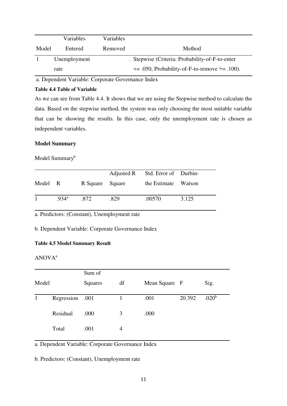|       | Variables    | Variables |                                                     |
|-------|--------------|-----------|-----------------------------------------------------|
| Model | Entered      | Removed   | Method                                              |
|       | Unemployment |           | . Stepwise (Criteria: Probability-of-F-to-enter)    |
|       | rate         |           | $\leq$ 0.050, Probability-of-F-to-remove > = 0.100. |

a. Dependent Variable: Corporate Governance Index

#### **Table 4.4 Table of Variable**

As we can see from Table 4.4. It shows that we are using the Stepwise method to calculate the data. Based on the stepwise method, the system was only choosing the most suitable variable that can be showing the results. In this case, only the unemployment rate is chosen as independent variables.

# **Model Summary**

# Model Summary<sup>b</sup>

|         |                   |                 |      | Adjusted R Std. Error of Durbin- |       |
|---------|-------------------|-----------------|------|----------------------------------|-------|
| Model R |                   | R Square Square |      | the Estimate Watson              |       |
|         | .934 <sup>a</sup> | -872            | .829 | .00570                           | 3.125 |

a. Predictors: (Constant), Unemployment rate

b. Dependent Variable: Corporate Governance Index

# **Table 4.5 Model Summary Result**

# ANOVA<sup>a</sup>

|       |                 | Sum of  |                     |      |        |                   |
|-------|-----------------|---------|---------------------|------|--------|-------------------|
| Model |                 | Squares | df<br>Mean Square F |      |        | Sig.              |
|       | Regression .001 |         |                     | .001 | 20.392 | .020 <sup>b</sup> |
|       | Residual        | .000    | 3                   | .000 |        |                   |
|       | Total           | .001    | 4                   |      |        |                   |

a. Dependent Variable: Corporate Governance Index

b. Predictors: (Constant), Unemployment rate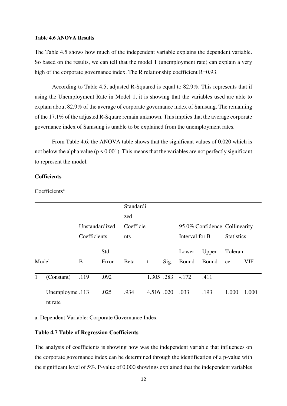#### **Table 4.6 ANOVA Results**

The Table 4.5 shows how much of the independent variable explains the dependent variable. So based on the results, we can tell that the model 1 (unemployment rate) can explain a very high of the corporate governance index. The R relationship coefficient R=0.93.

 According to Table 4.5, adjusted R-Squared is equal to 82.9%. This represents that if using the Unemployment Rate in Model 1, it is showing that the variables used are able to explain about 82.9% of the average of corporate governance index of Samsung. The remaining of the 17.1% of the adjusted R-Square remain unknown. This implies that the average corporate governance index of Samsung is unable to be explained from the unemployment rates.

From Table 4.6, the ANOVA table shows that the significant values of 0.020 which is not below the alpha value ( $p \le 0.001$ ). This means that the variables are not perfectly significant to represent the model.

# **Cofficients**

Coefficients<sup>a</sup>

|              |                            |              |                | Standardi    |            |      |                |                               |                   |            |
|--------------|----------------------------|--------------|----------------|--------------|------------|------|----------------|-------------------------------|-------------------|------------|
|              |                            |              |                | zed          |            |      |                |                               |                   |            |
|              |                            |              | Unstandardized | Coefficie    |            |      |                | 95.0% Confidence Collinearity |                   |            |
|              |                            | Coefficients |                | nts          |            |      | Interval for B |                               | <b>Statistics</b> |            |
|              |                            |              | Std.           |              |            |      | Lower          | Upper                         | Toleran           |            |
| Model        |                            | B            | Error          | <b>B</b> eta | t          | Sig. | Bound          | Bound                         | ce                | <b>VIF</b> |
| $\mathbf{1}$ | (Constant)                 | .119         | .092           |              | 1.305 .283 |      | $-.172$        | .411                          |                   |            |
|              | Unemployme .113<br>nt rate |              | .025           | .934         | 4.516 .020 |      | .033           | .193                          | 1.000             | 1.000      |

a. Dependent Variable: Corporate Governance Index

# **Table 4.7 Table of Regression Coefficients**

The analysis of coefficients is showing how was the independent variable that influences on the corporate governance index can be determined through the identification of a p-value with the significant level of 5%. P-value of 0.000 showings explained that the independent variables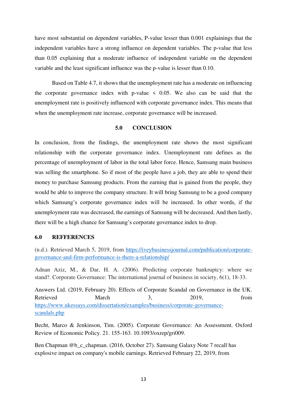have most substantial on dependent variables, P-value lesser than 0.001 explainings that the independent variables have a strong influence on dependent variables. The p-value that less than 0.05 explaining that a moderate influence of independent variable on the dependent variable and the least significant influence was the p-value is lesser than 0.10.

Based on Table 4.7, it shows that the unemployment rate has a moderate on influencing the corporate governance index with p-value  $\leq$  0.05. We also can be said that the unemployment rate is positively influenced with corporate governance index. This means that when the unemployment rate increase, corporate governance will be increased.

# **5.0 CONCLUSION**

In conclusion, from the findings, the unemployment rate shows the most significant relationship with the corporate governance index. Unemployment rate defines as the percentage of unemployment of labor in the total labor force. Hence, Samsung main business was selling the smartphone. So if most of the people have a job, they are able to spend their money to purchase Samsung products. From the earning that is gained from the people, they would be able to improve the company structure. It will bring Samsung to be a good company which Samsung's corporate governance index will be increased. In other words, if the unemployment rate was decreased, the earnings of Samsung will be decreased. And then lastly, there will be a high chance for Samsung's corporate governance index to drop.

## **6.0 REFFERENCES**

(n.d.). Retrieved March 5, 2019, from [https://iveybusinessjournal.com/publication/corporate](https://iveybusinessjournal.com/publication/corporate-governance-and-firm-performance-is-there-a-relationship/)[governance-and-firm-performance-is-there-a-relationship/](https://iveybusinessjournal.com/publication/corporate-governance-and-firm-performance-is-there-a-relationship/)

Adnan Aziz, M., & Dar, H. A. (2006). Predicting corporate bankruptcy: where we stand?. Corporate Governance: The international journal of business in society, 6(1), 18-33.

Answers Ltd. (2019, February 20). Effects of Corporate Scandal on Governance in the UK. Retrieved March 3, 2019, from [https://www.ukessays.com/dissertation/examples/business/corporate-governance](https://www.ukessays.com/dissertation/examples/business/corporate-governance-scandals.php)[scandals.php](https://www.ukessays.com/dissertation/examples/business/corporate-governance-scandals.php)

Becht, Marco & Jenkinson, Tim. (2005). Corporate Governance: An Assessment. Oxford Review of Economic Policy. 21. 155-163. 10.1093/oxrep/gri009.

Ben Chapman @b\_c\_chapman. (2016, October 27). Samsung Galaxy Note 7 recall has explosive impact on company's mobile earnings. Retrieved February 22, 2019, from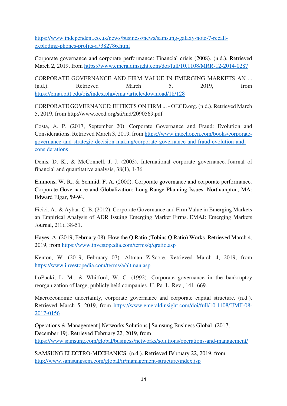[https://www.independent.co.uk/news/business/news/samsung-galaxy-note-7-recall](https://www.independent.co.uk/news/business/news/samsung-galaxy-note-7-recall-exploding-phones-profits-a7382786.html)[exploding-phones-profits-a7382786.html](https://www.independent.co.uk/news/business/news/samsung-galaxy-note-7-recall-exploding-phones-profits-a7382786.html)

Corporate governance and corporate performance: Financial crisis (2008). (n.d.). Retrieved March 2, 2019, from<https://www.emeraldinsight.com/doi/full/10.1108/MRR-12-2014-0287>

CORPORATE GOVERNANCE AND FIRM VALUE IN EMERGING MARKETS AN ... (n.d.). Retrieved March 5, 2019, from <https://emaj.pitt.edu/ojs/index.php/emaj/article/download/18/128>

CORPORATE GOVERNANCE: EFFECTS ON FIRM ... - OECD.org. (n.d.). Retrieved March 5, 2019, from http://www.oecd.org/sti/ind/2090569.pdf

Costa, A. P. (2017, September 20). Corporate Governance and Fraud: Evolution and Considerations. Retrieved March 3, 2019, from [https://www.intechopen.com/books/corporate](https://www.intechopen.com/books/corporate-governance-and-strategic-decision-making/corporate-governance-and-fraud-evolution-and-considerations)[governance-and-strategic-decision-making/corporate-governance-and-fraud-evolution-and](https://www.intechopen.com/books/corporate-governance-and-strategic-decision-making/corporate-governance-and-fraud-evolution-and-considerations)[considerations](https://www.intechopen.com/books/corporate-governance-and-strategic-decision-making/corporate-governance-and-fraud-evolution-and-considerations)

Denis, D. K., & McConnell, J. J. (2003). International corporate governance. Journal of financial and quantitative analysis, 38(1), 1-36.

Emmons, W. R., & Schmid, F. A. (2000). Corporate governance and corporate performance. Corporate Governance and Globalization: Long Range Planning Issues. Northampton, MA: Edward Elgar, 59-94.

Ficici, A., & Aybar, C. B. (2012). Corporate Governance and Firm Value in Emerging Markets an Empirical Analysis of ADR Issuing Emerging Market Firms. EMAJ: Emerging Markets Journal, 2(1), 38-51.

Hayes, A. (2019, February 08). How the Q Ratio (Tobins Q Ratio) Works. Retrieved March 4, 2019, from<https://www.investopedia.com/terms/q/qratio.asp>

Kenton, W. (2019, February 07). Altman Z-Score. Retrieved March 4, 2019, from <https://www.investopedia.com/terms/a/altman.asp>

LoPucki, L. M., & Whitford, W. C. (1992). Corporate governance in the bankruptcy reorganization of large, publicly held companies. U. Pa. L. Rev., 141, 669.

Macroeconomic uncertainty, corporate governance and corporate capital structure. (n.d.). Retrieved March 5, 2019, from [https://www.emeraldinsight.com/doi/full/10.1108/IJMF-08-](https://www.emeraldinsight.com/doi/full/10.1108/IJMF-08-2017-0156) [2017-0156](https://www.emeraldinsight.com/doi/full/10.1108/IJMF-08-2017-0156)

Operations & Management | Networks Solutions | Samsung Business Global. (2017, December 19). Retrieved February 22, 2019, from <https://www.samsung.com/global/business/networks/solutions/operations-and-management/>

SAMSUNG ELECTRO-MECHANICS. (n.d.). Retrieved February 22, 2019, from <http://www.samsungsem.com/global/ir/management-structure/index.jsp>